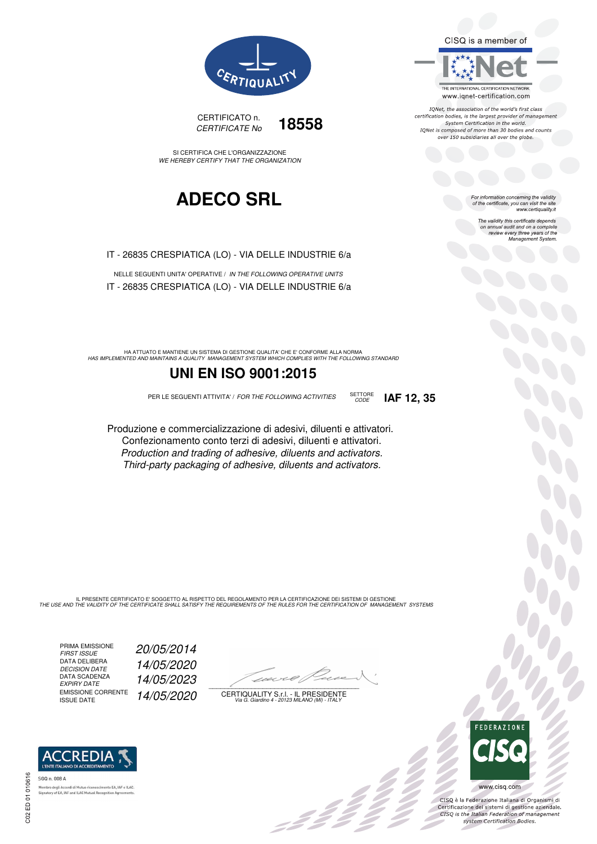



SI CERTIFICA CHE L'ORGANIZZAZIONE WE HEREBY CERTIFY THAT THE ORGANIZATION

## **ADECO SRL**

IT - 26835 CRESPIATICA (LO) - VIA DELLE INDUSTRIE 6/a

NELLE SEGUENTI UNITA' OPERATIVE / IN THE FOLLOWING OPERATIVE UNITS IT - 26835 CRESPIATICA (LO) - VIA DELLE INDUSTRIE 6/a

HA ATTUATO E MANTIENE UN SISTEMA DI GESTIONE QUALITA' CHE E' CONFORME ALLA NORMA<br>HAS IMPLEMENTED AND MAINTAINS A QUALITY MANAGEMENT SYSTEM WHICH COMPLIES WITH THE FOLLOWING STANDARD

### **UNI EN ISO 9001:2015**

PER LE SEGUENTI ATTIVITA' / FOR THE FOLLOWING ACTIVITIES SETTORE

CODE **IAF 12, 35**

Produzione e commercializzazione di adesivi, diluenti e attivatori. Confezionamento conto terzi di adesivi, diluenti e attivatori. Production and trading of adhesive, diluents and activators. Third-party packaging of adhesive, diluents and activators.

IL PRESENTE CERTIFICATO E' SOGGETTO AL RISPETTO DEL REGOLAMENTO PER LA CERTIFICAZIONE DEI SISTEMI DI GESTIONE<br>THE USE AND THE VALIDITY OF THE CERTIFICATE SHALL SATISFY THE REQUIREMENTS OF THE RULES FOR THE CERTIFICATION OF

PRIMA EMISSIONE<br>FIRST ISSUE DATA DELIBERA DECISION DATE<br>DATA SCADENZA<br>EXPIRY DATE EMISSIONE CORRENTE<br>ISSUE DATE FIRST ISSUE 20/05/2014 14/05/2020 EXPIRY DATE 14/05/2023 14/05/2020

 $\overline{\phantom{a}}$ 

:422

CERTIQUALITY S.r.l. - IL PRESIDENTE Via G. Giardino 4 - 20123 MILANO (MI) - ITALY



IQNet, the association of the world's first class certification bodies, is the largest provider of management System Certification in the world.<br>IQNet is composed of more than 30 bodies and counts over 150 subsidiaries all over the globe.

> For information concerning the validity<br>of the certificate, you can visit the site www.certiquality.it

> > The validity this certificate depends on annual audit and on a complete<br>on annual audit and on a complete<br>review every three years of the<br>Management System.



 $\frac{1}{2}$ 

CISQ è la Federazione Italiana di Organismi di Crista e la Federazione Transma di Organismi di<br>Certificazione dei sistemi di gestione aziendale.<br>CISQ is the Italian Federation of management system Certification Bodies.



haro degli Accordi di Mutuo Ficonoscimente<br>atory of EA, IAF and ILAC Mutual Recognit